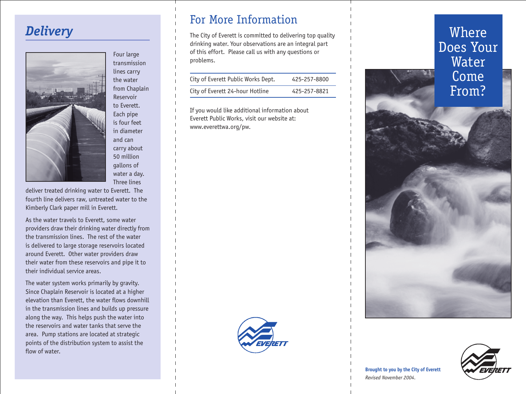## *Delivery*



Four large transmission lines carry the water from Chaplain Reservoir to Everett. Each pipe is four feet in diameter and can carry about 50 million gallons of water a day. Three lines

deliver treated drinking water to Everett. The fourth line delivers raw, untreated water to the Kimberly Clark paper mill in Everett.

As the water travels to Everett, some water providers draw their drinking water directly from the transmission lines. The rest of the water is delivered to large storage reservoirs located around Everett. Other water providers draw their water from these reservoirs and pipe it to their individual service areas.

The water system works primarily by gravity. Since Chaplain Reservoir is located at a higher elevation than Everett, the water flows downhill in the transmission lines and builds up pressure along the way. This helps push the water into the reservoirs and water tanks that serve the area. Pump stations are located at strategic points of the distribution system to assist the flow of water.

## For More Information

The City of Everett is committed to delivering top quality drinking water. Your observations are an integral part of this effort. Please call us with any questions or problems.

| City of Everett Public Works Dept. | 425-257-8800 |
|------------------------------------|--------------|
| City of Everett 24-hour Hotline    | 425-257-8821 |

If you would like additional information about Everett Public Works, visit our website at: www.everettwa.org/pw.



Where Does Your Water Come From?



**Brought to you by the City of Everett**  *Revised November 2004.*